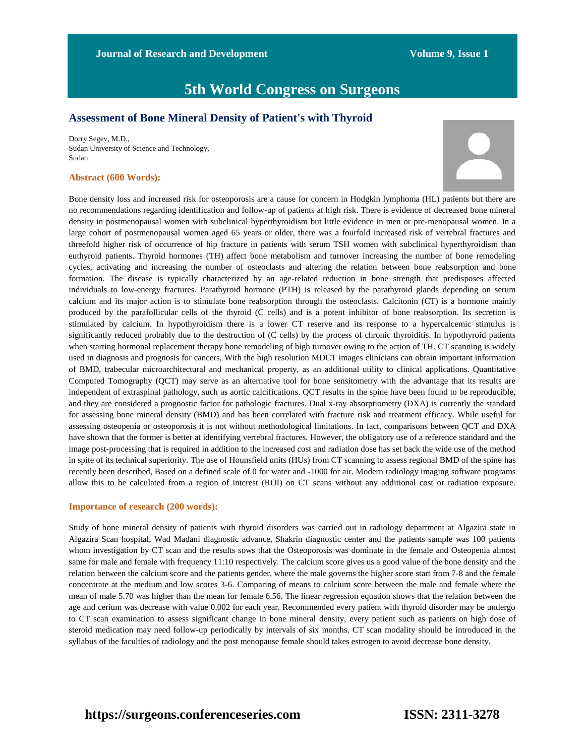**Journal of Research and Development Volume 9, Issue 1** 

# **5th World Congress on Surgeons**

### **Assessment of Bone Mineral Density of Patient's with Thyroid**

Dorry Segev, M.D., Sudan University of Science and Technology, Sudan

#### **Abstract (600 Words):**



Bone density loss and increased risk for osteoporosis are a cause for concern in Hodgkin lymphoma (HL) patients but there are no recommendations regarding identification and follow-up of patients at high risk. There is evidence of decreased bone mineral density in postmenopausal women with subclinical hyperthyroidism but little evidence in men or pre-menopausal women. In a large cohort of postmenopausal women aged 65 years or older, there was a fourfold increased risk of vertebral fractures and threefold higher risk of occurrence of hip fracture in patients with serum TSH women with subclinical hyperthyroidism than euthyroid patients. Thyroid hormones (TH) affect bone metabolism and turnover increasing the number of bone remodeling cycles, activating and increasing the number of osteoclasts and altering the relation between bone reabsorption and bone formation. The disease is typically characterized by an age-related reduction in bone strength that predisposes affected individuals to low-energy fractures. Parathyroid hormone (PTH) is released by the parathyroid glands depending on serum calcium and its major action is to stimulate bone reabsorption through the osteoclasts. Calcitonin (CT) is a hormone mainly produced by the parafollicular cells of the thyroid (C cells) and is a potent inhibitor of bone reabsorption. Its secretion is stimulated by calcium. In hypothyroidism there is a lower CT reserve and its response to a hypercalcemic stimulus is significantly reduced probably due to the destruction of (C cells) by the process of chronic thyroiditis. In hypothyroid patients when starting hormonal replacement therapy bone remodeling of high turnover owing to the action of TH. CT scanning is widely used in diagnosis and prognosis for cancers, With the high resolution MDCT images clinicians can obtain important information of BMD, trabecular microarchitectural and mechanical property, as an additional utility to clinical applications. Quantitative Computed Tomography (QCT) may serve as an alternative tool for bone sensitometry with the advantage that its results are independent of extraspinal pathology, such as aortic calcifications. QCT results in the spine have been found to be reproducible, and they are considered a prognostic factor for pathologic fractures. Dual x-ray absorptiometry (DXA) is currently the standard for assessing bone mineral density (BMD) and has been correlated with fracture risk and treatment efficacy. While useful for assessing osteopenia or osteoporosis it is not without methodological limitations. In fact, comparisons between QCT and DXA have shown that the former is better at identifying vertebral fractures. However, the obligatory use of a reference standard and the image post-processing that is required in addition to the increased cost and radiation dose has set back the wide use of the method in spite of its technical superiority. The use of Hounsfield units (HUs) from CT scanning to assess regional BMD of the spine has recently been described, Based on a defined scale of 0 for water and -1000 for air. Modern radiology imaging software programs allow this to be calculated from a region of interest (ROI) on CT scans without any additional cost or radiation exposure.

### **Importance of research (200 words):**

Study of bone mineral density of patients with thyroid disorders was carried out in radiology department at Algazira state in Algazira Scan hospital, Wad Madani diagnostic advance, Shakrin diagnostic center and the patients sample was 100 patients whom investigation by CT scan and the results sows that the Osteoporosis was dominate in the female and Osteopenia almost same for male and female with frequency 11:10 respectively. The calcium score gives us a good value of the bone density and the relation between the calcium score and the patients gender, where the male governs the higher score start from 7-8 and the female concentrate at the medium and low scores 3-6. Comparing of means to calcium score between the male and female where the mean of male 5.70 was higher than the mean for female 6.56. The linear regression equation shows that the relation between the age and cerium was decrease with value 0.002 for each year. Recommended every patient with thyroid disorder may be undergo to CT scan examination to assess significant change in bone mineral density, every patient such as patients on high dose of steroid medication may need follow-up periodically by intervals of six months. CT scan modality should be introduced in the syllabus of the faculties of radiology and the post menopause female should takes estrogen to avoid decrease bone density.